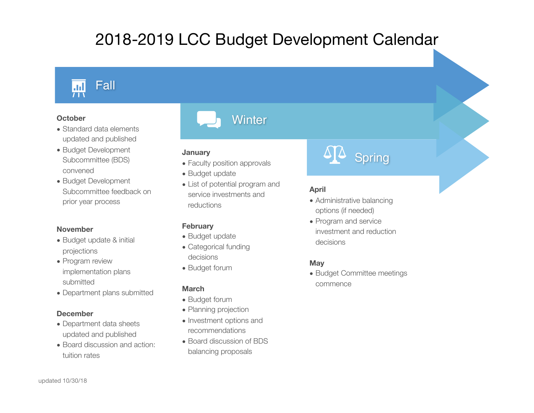# 2018-2019 LCC Budget Development Calendar



## **October**

- Standard data elements updated and published
- Budget Development Subcommittee (BDS) convened
- Budget Development Subcommittee feedback on prior year process

#### **November**

- Budget update & initial projections
- Program review implementation plans submitted
- Department plans submitted

#### **December**

- Department data sheets updated and published
- Board discussion and action: tuition rates



# **January**

- Faculty position approvals
- Budget update
- List of potential program and service investments and reductions

#### **February**

- Budget update
- Categorical funding decisions
- Budget forum

#### **March**

- Budget forum
- Planning projection
- Investment options and recommendations
- Board discussion of BDS balancing proposals



# **April**

- Administrative balancing options (if needed)
- Program and service investment and reduction decisions

#### **May**

• Budget Committee meetings commence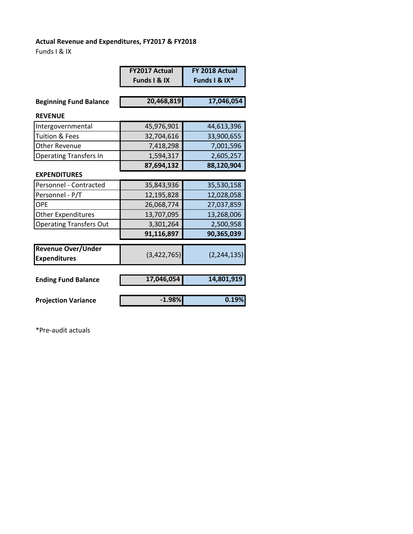## **Actual Revenue and Expenditures, FY2017 & FY2018**

Funds I & IX

|                                                  | <b>FY2017 Actual</b> | FY 2018 Actual |  |
|--------------------------------------------------|----------------------|----------------|--|
|                                                  | Funds I & IX         | Funds I & IX*  |  |
|                                                  |                      |                |  |
| <b>Beginning Fund Balance</b>                    | 20,468,819           | 17,046,054     |  |
| <b>REVENUE</b>                                   |                      |                |  |
| Intergovernmental                                | 45,976,901           | 44,613,396     |  |
| <b>Tuition &amp; Fees</b>                        | 32,704,616           | 33,900,655     |  |
| <b>Other Revenue</b>                             | 7,418,298            | 7,001,596      |  |
| <b>Operating Transfers In</b>                    | 1,594,317            | 2,605,257      |  |
|                                                  | 87,694,132           | 88,120,904     |  |
| <b>EXPENDITURES</b>                              |                      |                |  |
| Personnel - Contracted                           | 35,843,936           | 35,530,158     |  |
| Personnel - P/T                                  | 12,195,828           | 12,028,058     |  |
| OPF                                              | 26,068,774           | 27,037,859     |  |
| <b>Other Expenditures</b>                        | 13,707,095           | 13,268,006     |  |
| <b>Operating Transfers Out</b>                   | 3,301,264            | 2,500,958      |  |
|                                                  | 91,116,897           | 90,365,039     |  |
| <b>Revenue Over/Under</b><br><b>Expenditures</b> | (3,422,765)          | (2, 244, 135)  |  |
|                                                  |                      |                |  |
| <b>Ending Fund Balance</b>                       | 17,046,054           | 14,801,919     |  |
|                                                  | $-1.98%$             | 0.19%          |  |
| <b>Projection Variance</b>                       |                      |                |  |

\*Pre‐audit actuals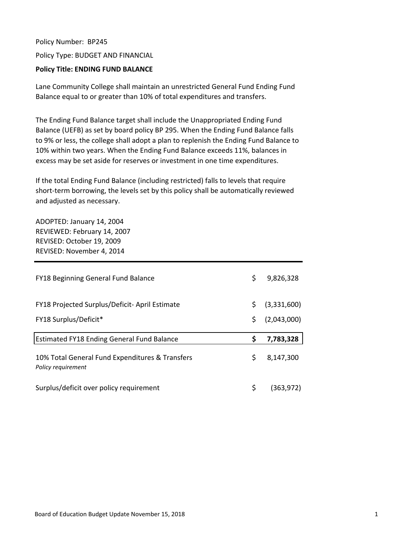Policy Number: BP245 Policy Type: BUDGET AND FINANCIAL

#### **Policy Title: ENDING FUND BALANCE**

Lane Community College shall maintain an unrestricted General Fund Ending Fund Balance equal to or greater than 10% of total expenditures and transfers.

The Ending Fund Balance target shall include the Unappropriated Ending Fund Balance (UEFB) as set by board policy BP 295. When the Ending Fund Balance falls to 9% or less, the college shall adopt a plan to replenish the Ending Fund Balance to 10% within two years. When the Ending Fund Balance exceeds 11%, balances in excess may be set aside for reserves or investment in one time expenditures.

If the total Ending Fund Balance (including restricted) falls to levels that require short-term borrowing, the levels set by this policy shall be automatically reviewed and adjusted as necessary.

ADOPTED: January 14, 2004 REVIEWED: February 14, 2007 REVISED: October 19, 2009 REVISED: November 4, 2014

| FY18 Beginning General Fund Balance                                   | \$  | 9,826,328   |
|-----------------------------------------------------------------------|-----|-------------|
| FY18 Projected Surplus/Deficit-April Estimate                         | \$. | (3,331,600) |
| FY18 Surplus/Deficit*                                                 | \$  | (2,043,000) |
|                                                                       |     |             |
| <b>Estimated FY18 Ending General Fund Balance</b>                     | \$  | 7,783,328   |
| 10% Total General Fund Expenditures & Transfers<br>Policy requirement | \$  | 8,147,300   |